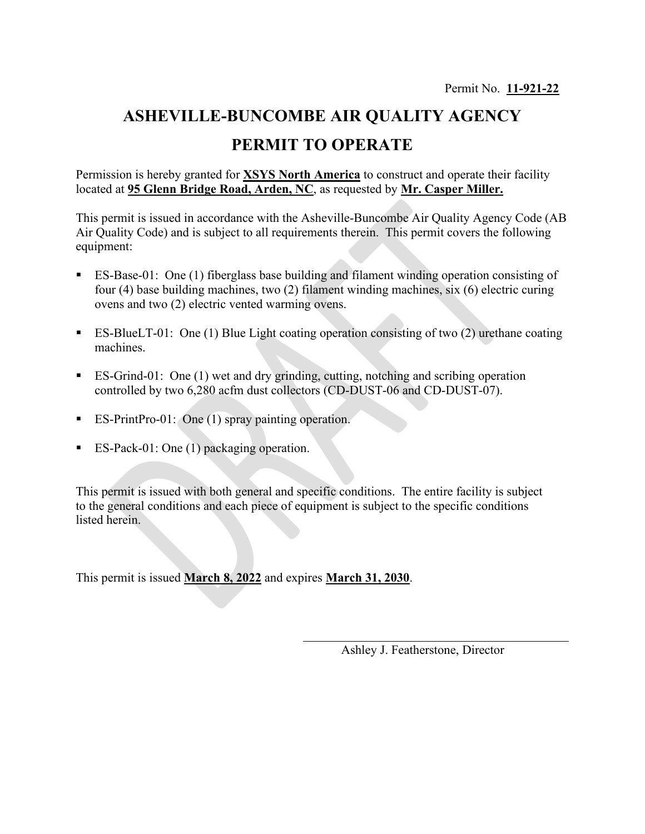## **ASHEVILLE-BUNCOMBE AIR QUALITY AGENCY PERMIT TO OPERATE**

Permission is hereby granted for **XSYS North America** to construct and operate their facility located at **95 Glenn Bridge Road, Arden, NC**, as requested by **Mr. Casper Miller.**

This permit is issued in accordance with the Asheville-Buncombe Air Quality Agency Code (AB Air Quality Code) and is subject to all requirements therein. This permit covers the following equipment:

- ES-Base-01: One (1) fiberglass base building and filament winding operation consisting of four (4) base building machines, two (2) filament winding machines, six (6) electric curing ovens and two (2) electric vented warming ovens.
- ES-BlueLT-01: One (1) Blue Light coating operation consisting of two (2) urethane coating machines.
- ES-Grind-01: One (1) wet and dry grinding, cutting, notching and scribing operation controlled by two 6,280 acfm dust collectors (CD-DUST-06 and CD-DUST-07).
- ES-PrintPro-01: One (1) spray painting operation.
- ES-Pack-01: One (1) packaging operation.

This permit is issued with both general and specific conditions. The entire facility is subject to the general conditions and each piece of equipment is subject to the specific conditions listed herein.

This permit is issued **March 8, 2022** and expires **March 31, 2030**.

Ashley J. Featherstone, Director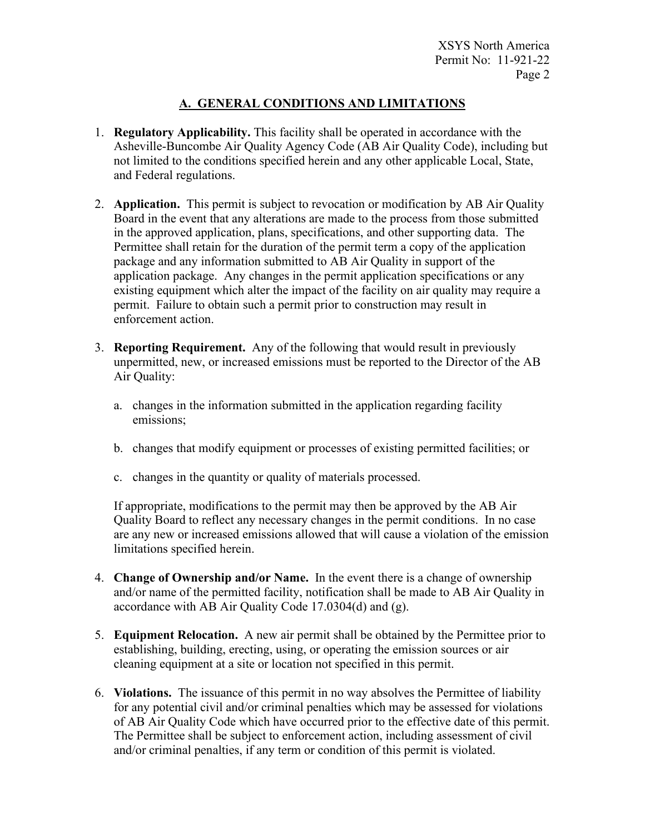## **A. GENERAL CONDITIONS AND LIMITATIONS**

- 1. **Regulatory Applicability.** This facility shall be operated in accordance with the Asheville-Buncombe Air Quality Agency Code (AB Air Quality Code), including but not limited to the conditions specified herein and any other applicable Local, State, and Federal regulations.
- 2. **Application.** This permit is subject to revocation or modification by AB Air Quality Board in the event that any alterations are made to the process from those submitted in the approved application, plans, specifications, and other supporting data. The Permittee shall retain for the duration of the permit term a copy of the application package and any information submitted to AB Air Quality in support of the application package. Any changes in the permit application specifications or any existing equipment which alter the impact of the facility on air quality may require a permit. Failure to obtain such a permit prior to construction may result in enforcement action.
- 3. **Reporting Requirement.** Any of the following that would result in previously unpermitted, new, or increased emissions must be reported to the Director of the AB Air Quality:
	- a. changes in the information submitted in the application regarding facility emissions;
	- b. changes that modify equipment or processes of existing permitted facilities; or
	- c. changes in the quantity or quality of materials processed.

If appropriate, modifications to the permit may then be approved by the AB Air Quality Board to reflect any necessary changes in the permit conditions. In no case are any new or increased emissions allowed that will cause a violation of the emission limitations specified herein.

- 4. **Change of Ownership and/or Name.** In the event there is a change of ownership and/or name of the permitted facility, notification shall be made to AB Air Quality in accordance with AB Air Quality Code 17.0304(d) and (g).
- 5. **Equipment Relocation.** A new air permit shall be obtained by the Permittee prior to establishing, building, erecting, using, or operating the emission sources or air cleaning equipment at a site or location not specified in this permit.
- 6. **Violations.** The issuance of this permit in no way absolves the Permittee of liability for any potential civil and/or criminal penalties which may be assessed for violations of AB Air Quality Code which have occurred prior to the effective date of this permit. The Permittee shall be subject to enforcement action, including assessment of civil and/or criminal penalties, if any term or condition of this permit is violated.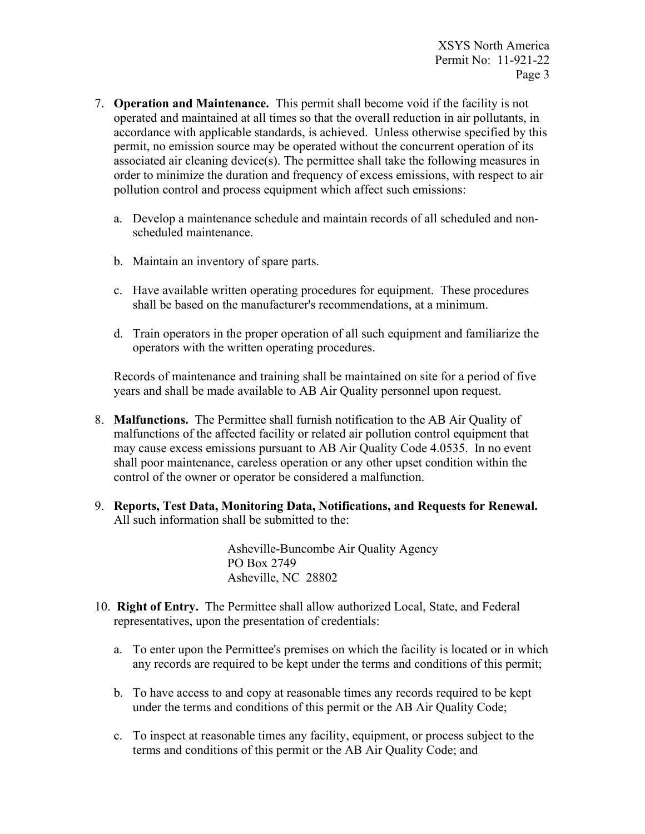- 7. **Operation and Maintenance.** This permit shall become void if the facility is not operated and maintained at all times so that the overall reduction in air pollutants, in accordance with applicable standards, is achieved. Unless otherwise specified by this permit, no emission source may be operated without the concurrent operation of its associated air cleaning device(s). The permittee shall take the following measures in order to minimize the duration and frequency of excess emissions, with respect to air pollution control and process equipment which affect such emissions:
	- a. Develop a maintenance schedule and maintain records of all scheduled and nonscheduled maintenance.
	- b. Maintain an inventory of spare parts.
	- c. Have available written operating procedures for equipment. These procedures shall be based on the manufacturer's recommendations, at a minimum.
	- d. Train operators in the proper operation of all such equipment and familiarize the operators with the written operating procedures.

Records of maintenance and training shall be maintained on site for a period of five years and shall be made available to AB Air Quality personnel upon request.

- 8. **Malfunctions.** The Permittee shall furnish notification to the AB Air Quality of malfunctions of the affected facility or related air pollution control equipment that may cause excess emissions pursuant to AB Air Quality Code 4.0535. In no event shall poor maintenance, careless operation or any other upset condition within the control of the owner or operator be considered a malfunction.
- 9. **Reports, Test Data, Monitoring Data, Notifications, and Requests for Renewal.** All such information shall be submitted to the:

Asheville-Buncombe Air Quality Agency PO Box 2749 Asheville, NC 28802

- 10. **Right of Entry.** The Permittee shall allow authorized Local, State, and Federal representatives, upon the presentation of credentials:
	- a. To enter upon the Permittee's premises on which the facility is located or in which any records are required to be kept under the terms and conditions of this permit;
	- b. To have access to and copy at reasonable times any records required to be kept under the terms and conditions of this permit or the AB Air Quality Code;
	- c. To inspect at reasonable times any facility, equipment, or process subject to the terms and conditions of this permit or the AB Air Quality Code; and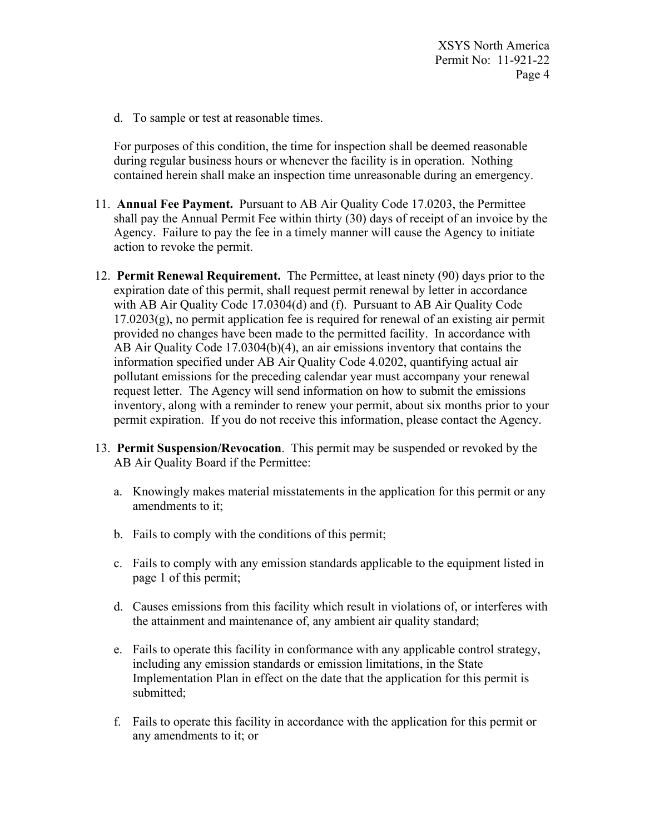XSYS North America Permit No: 11-921-22 Page 4

d. To sample or test at reasonable times.

For purposes of this condition, the time for inspection shall be deemed reasonable during regular business hours or whenever the facility is in operation. Nothing contained herein shall make an inspection time unreasonable during an emergency.

- 11. **Annual Fee Payment.** Pursuant to AB Air Quality Code 17.0203, the Permittee shall pay the Annual Permit Fee within thirty (30) days of receipt of an invoice by the Agency. Failure to pay the fee in a timely manner will cause the Agency to initiate action to revoke the permit.
- 12. **Permit Renewal Requirement.** The Permittee, at least ninety (90) days prior to the expiration date of this permit, shall request permit renewal by letter in accordance with AB Air Quality Code 17.0304(d) and (f). Pursuant to AB Air Quality Code  $17.0203(g)$ , no permit application fee is required for renewal of an existing air permit provided no changes have been made to the permitted facility. In accordance with AB Air Quality Code 17.0304(b)(4), an air emissions inventory that contains the information specified under AB Air Quality Code 4.0202, quantifying actual air pollutant emissions for the preceding calendar year must accompany your renewal request letter. The Agency will send information on how to submit the emissions inventory, along with a reminder to renew your permit, about six months prior to your permit expiration. If you do not receive this information, please contact the Agency.
- 13. **Permit Suspension/Revocation**. This permit may be suspended or revoked by the AB Air Quality Board if the Permittee:
	- a. Knowingly makes material misstatements in the application for this permit or any amendments to it;
	- b. Fails to comply with the conditions of this permit;
	- c. Fails to comply with any emission standards applicable to the equipment listed in page 1 of this permit;
	- d. Causes emissions from this facility which result in violations of, or interferes with the attainment and maintenance of, any ambient air quality standard;
	- e. Fails to operate this facility in conformance with any applicable control strategy, including any emission standards or emission limitations, in the State Implementation Plan in effect on the date that the application for this permit is submitted;
	- f. Fails to operate this facility in accordance with the application for this permit or any amendments to it; or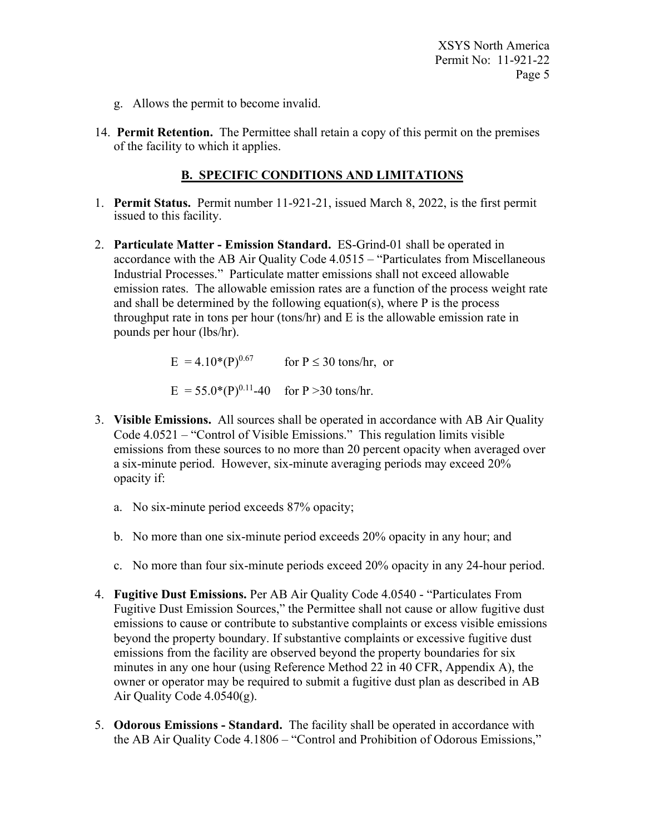XSYS North America Permit No: 11-921-22 Page 5

- g. Allows the permit to become invalid.
- 14. **Permit Retention.** The Permittee shall retain a copy of this permit on the premises of the facility to which it applies.

## **B. SPECIFIC CONDITIONS AND LIMITATIONS**

- 1. **Permit Status.** Permit number 11-921-21, issued March 8, 2022, is the first permit issued to this facility.
- 2. **Particulate Matter - Emission Standard.** ES-Grind-01 shall be operated in accordance with the AB Air Quality Code 4.0515 – "Particulates from Miscellaneous Industrial Processes." Particulate matter emissions shall not exceed allowable emission rates. The allowable emission rates are a function of the process weight rate and shall be determined by the following equation(s), where P is the process throughput rate in tons per hour (tons/hr) and E is the allowable emission rate in pounds per hour (lbs/hr).

E =  $4.10*(P)^{0.67}$  for P  $\leq$  30 tons/hr, or

$$
E = 55.0^*(P)^{0.11} - 40
$$
 for P >30 tons/hr.

- 3. **Visible Emissions.** All sources shall be operated in accordance with AB Air Quality Code 4.0521 – "Control of Visible Emissions." This regulation limits visible emissions from these sources to no more than 20 percent opacity when averaged over a six-minute period. However, six-minute averaging periods may exceed 20% opacity if:
	- a. No six-minute period exceeds 87% opacity;
	- b. No more than one six-minute period exceeds 20% opacity in any hour; and
	- c. No more than four six-minute periods exceed 20% opacity in any 24-hour period.
- 4. **Fugitive Dust Emissions.** Per AB Air Quality Code 4.0540 "Particulates From Fugitive Dust Emission Sources," the Permittee shall not cause or allow fugitive dust emissions to cause or contribute to substantive complaints or excess visible emissions beyond the property boundary. If substantive complaints or excessive fugitive dust emissions from the facility are observed beyond the property boundaries for six minutes in any one hour (using Reference Method 22 in 40 CFR, Appendix A), the owner or operator may be required to submit a fugitive dust plan as described in AB Air Quality Code 4.0540(g).
- 5. **Odorous Emissions - Standard.** The facility shall be operated in accordance with the AB Air Quality Code 4.1806 – "Control and Prohibition of Odorous Emissions,"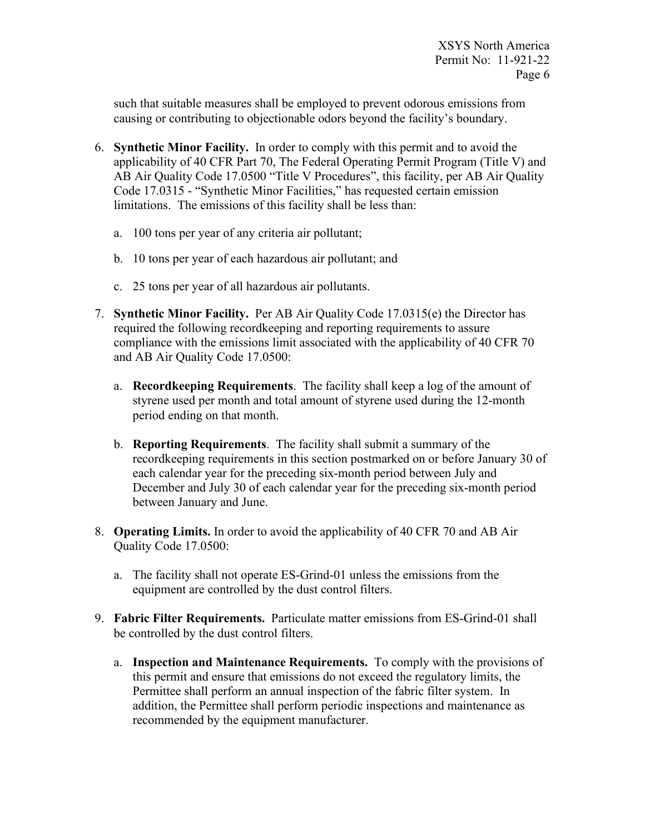such that suitable measures shall be employed to prevent odorous emissions from causing or contributing to objectionable odors beyond the facility's boundary.

- 6. **Synthetic Minor Facility.** In order to comply with this permit and to avoid the applicability of 40 CFR Part 70, The Federal Operating Permit Program (Title V) and AB Air Quality Code 17.0500 "Title V Procedures", this facility, per AB Air Quality Code 17.0315 - "Synthetic Minor Facilities," has requested certain emission limitations. The emissions of this facility shall be less than:
	- a. 100 tons per year of any criteria air pollutant;
	- b. 10 tons per year of each hazardous air pollutant; and
	- c. 25 tons per year of all hazardous air pollutants.
- 7. **Synthetic Minor Facility.** Per AB Air Quality Code 17.0315(e) the Director has required the following recordkeeping and reporting requirements to assure compliance with the emissions limit associated with the applicability of 40 CFR 70 and AB Air Quality Code 17.0500:
	- a. **Recordkeeping Requirements**. The facility shall keep a log of the amount of styrene used per month and total amount of styrene used during the 12-month period ending on that month.
	- b. **Reporting Requirements**. The facility shall submit a summary of the recordkeeping requirements in this section postmarked on or before January 30 of each calendar year for the preceding six-month period between July and December and July 30 of each calendar year for the preceding six-month period between January and June.
- 8. **Operating Limits.** In order to avoid the applicability of 40 CFR 70 and AB Air Quality Code 17.0500:
	- a. The facility shall not operate ES-Grind-01 unless the emissions from the equipment are controlled by the dust control filters.
- 9. **Fabric Filter Requirements.** Particulate matter emissions from ES-Grind-01 shall be controlled by the dust control filters.
	- a. **Inspection and Maintenance Requirements.** To comply with the provisions of this permit and ensure that emissions do not exceed the regulatory limits, the Permittee shall perform an annual inspection of the fabric filter system. In addition, the Permittee shall perform periodic inspections and maintenance as recommended by the equipment manufacturer.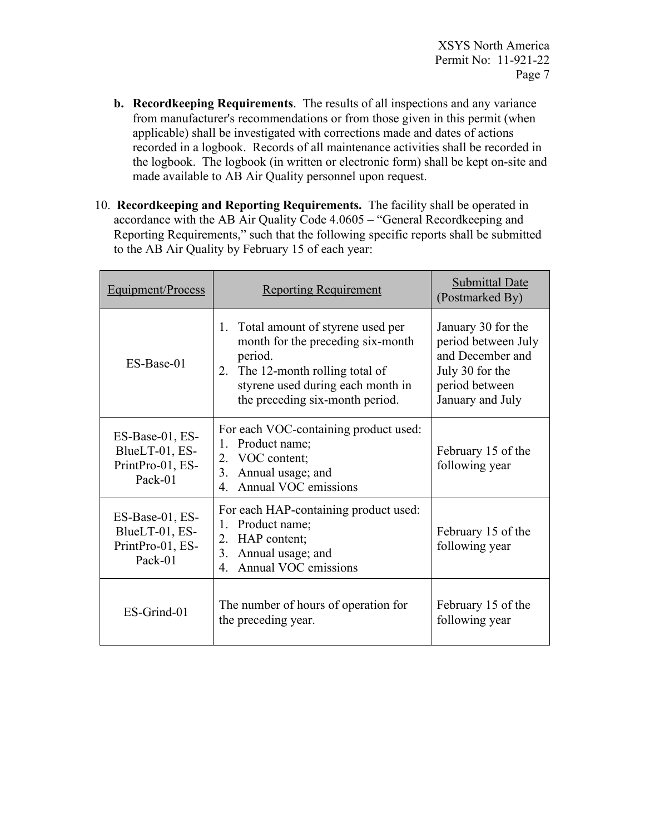- **b. Recordkeeping Requirements**. The results of all inspections and any variance from manufacturer's recommendations or from those given in this permit (when applicable) shall be investigated with corrections made and dates of actions recorded in a logbook. Records of all maintenance activities shall be recorded in the logbook. The logbook (in written or electronic form) shall be kept on-site and made available to AB Air Quality personnel upon request.
- 10. **Recordkeeping and Reporting Requirements.** The facility shall be operated in accordance with the AB Air Quality Code 4.0605 – "General Recordkeeping and Reporting Requirements," such that the following specific reports shall be submitted to the AB Air Quality by February 15 of each year:

| Equipment/Process                                                | <b>Reporting Requirement</b>                                                                                                                                                                    | <b>Submittal Date</b><br>(Postmarked By)                                                                               |
|------------------------------------------------------------------|-------------------------------------------------------------------------------------------------------------------------------------------------------------------------------------------------|------------------------------------------------------------------------------------------------------------------------|
| ES-Base-01                                                       | 1. Total amount of styrene used per<br>month for the preceding six-month<br>period.<br>2. The 12-month rolling total of<br>styrene used during each month in<br>the preceding six-month period. | January 30 for the<br>period between July<br>and December and<br>July 30 for the<br>period between<br>January and July |
| ES-Base-01, ES-<br>BlueLT-01, ES-<br>PrintPro-01, ES-<br>Pack-01 | For each VOC-containing product used:<br>1. Product name;<br>2. VOC content;<br>3. Annual usage; and<br>4. Annual VOC emissions                                                                 | February 15 of the<br>following year                                                                                   |
| ES-Base-01, ES-<br>BlueLT-01, ES-<br>PrintPro-01, ES-<br>Pack-01 | For each HAP-containing product used:<br>1. Product name;<br>2. HAP content;<br>3. Annual usage; and<br>Annual VOC emissions<br>$4_{\cdot}$                                                     | February 15 of the<br>following year                                                                                   |
| ES-Grind-01                                                      | The number of hours of operation for<br>the preceding year.                                                                                                                                     | February 15 of the<br>following year                                                                                   |